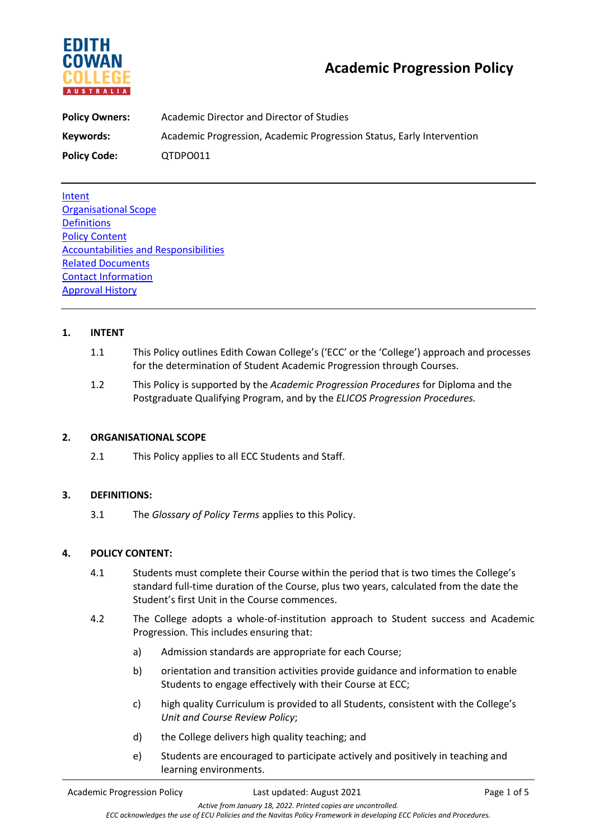

| <b>Policy Owners:</b> | Academic Director and Director of Studies                             |  |
|-----------------------|-----------------------------------------------------------------------|--|
| Keywords:             | Academic Progression, Academic Progression Status, Early Intervention |  |
| <b>Policy Code:</b>   | QTDPO011                                                              |  |

Intent Organisational Scope **Definitions** Policy Content Accountabilities and Responsibilities Related Documents Contact Information Approval History

# **1. INTENT**

- 1.1 This Policy outlines Edith Cowan College's ('ECC' or the 'College') approach and processes for the determination of Student Academic Progression through Courses.
- 1.2 This Policy is supported by the *Academic Progression Procedures* for Diploma and the Postgraduate Qualifying Program, and by the *ELICOS Progression Procedures.*

## **2. ORGANISATIONAL SCOPE**

2.1 This Policy applies to all ECC Students and Staff.

# **3. DEFINITIONS:**

3.1 The *Glossary of Policy Terms* applies to this Policy.

## **4. POLICY CONTENT:**

- 4.1 Students must complete their Course within the period that is two times the College's standard full-time duration of the Course, plus two years, calculated from the date the Student's first Unit in the Course commences.
- 4.2 The College adopts a whole-of-institution approach to Student success and Academic Progression. This includes ensuring that:
	- a) Admission standards are appropriate for each Course;
	- b) orientation and transition activities provide guidance and information to enable Students to engage effectively with their Course at ECC;
	- c) high quality Curriculum is provided to all Students, consistent with the College's *Unit and Course Review Policy*;
	- d) the College delivers high quality teaching; and
	- e) Students are encouraged to participate actively and positively in teaching and learning environments.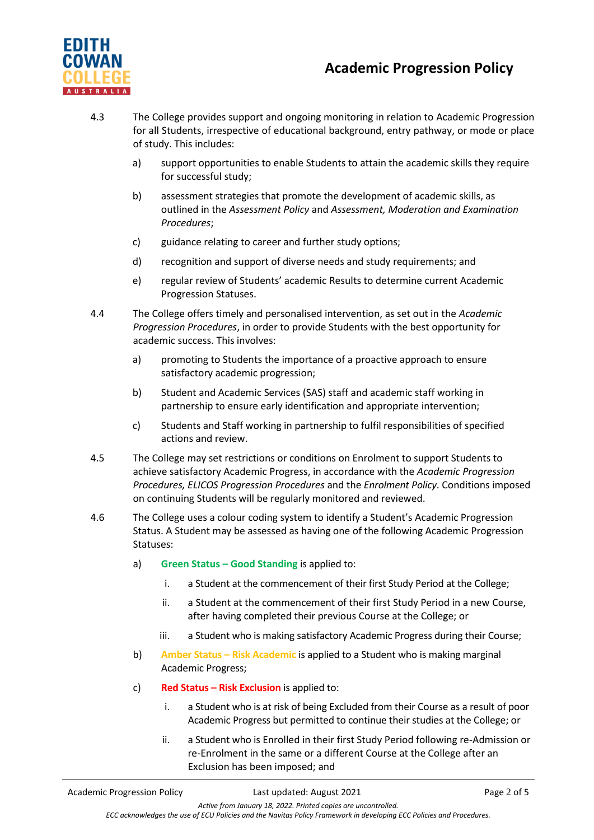



- 4.3 The College provides support and ongoing monitoring in relation to Academic Progression for all Students, irrespective of educational background, entry pathway, or mode or place of study. This includes:
	- a) support opportunities to enable Students to attain the academic skills they require for successful study;
	- b) assessment strategies that promote the development of academic skills, as outlined in the *Assessment Policy* and *Assessment, Moderation and Examination Procedures*;
	- c) guidance relating to career and further study options;
	- d) recognition and support of diverse needs and study requirements; and
	- e) regular review of Students' academic Results to determine current Academic Progression Statuses.
- 4.4 The College offers timely and personalised intervention, as set out in the *Academic Progression Procedures*, in order to provide Students with the best opportunity for academic success. This involves:
	- a) promoting to Students the importance of a proactive approach to ensure satisfactory academic progression;
	- b) Student and Academic Services (SAS) staff and academic staff working in partnership to ensure early identification and appropriate intervention;
	- c) Students and Staff working in partnership to fulfil responsibilities of specified actions and review.
- 4.5 The College may set restrictions or conditions on Enrolment to support Students to achieve satisfactory Academic Progress, in accordance with the *Academic Progression Procedures, ELICOS Progression Procedures* and the *Enrolment Policy*. Conditions imposed on continuing Students will be regularly monitored and reviewed.
- 4.6 The College uses a colour coding system to identify a Student's Academic Progression Status. A Student may be assessed as having one of the following Academic Progression Statuses:
	- a) **Green Status – Good Standing** is applied to:
		- i. a Student at the commencement of their first Study Period at the College;
		- ii. a Student at the commencement of their first Study Period in a new Course, after having completed their previous Course at the College; or
		- iii. a Student who is making satisfactory Academic Progress during their Course;
	- b) **Amber Status – Risk Academic** is applied to a Student who is making marginal Academic Progress;
	- c) **Red Status – Risk Exclusion** is applied to:
		- i. a Student who is at risk of being Excluded from their Course as a result of poor Academic Progress but permitted to continue their studies at the College; or
		- ii. a Student who is Enrolled in their first Study Period following re-Admission or re-Enrolment in the same or a different Course at the College after an Exclusion has been imposed; and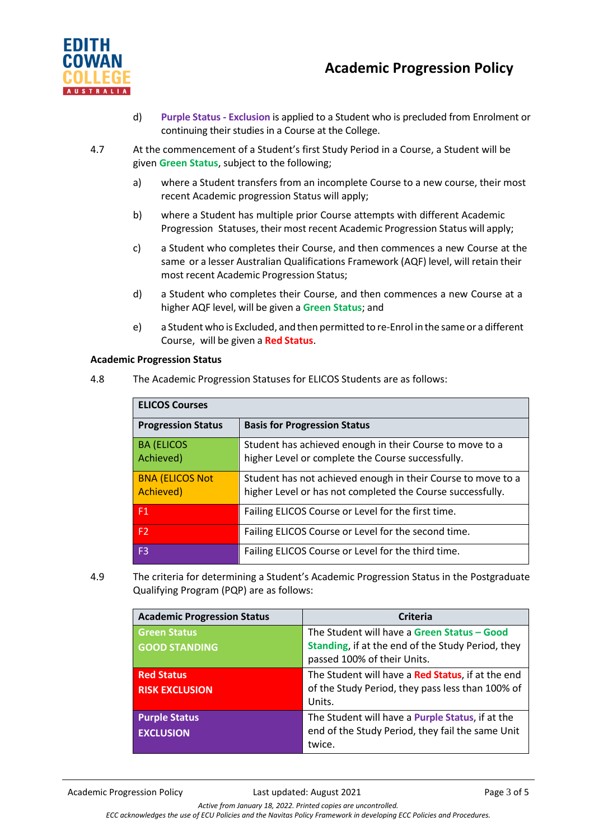

- d) **Purple Status - Exclusion** is applied to a Student who is precluded from Enrolment or continuing their studies in a Course at the College.
- 4.7 At the commencement of a Student's first Study Period in a Course, a Student will be given **Green Status**, subject to the following;
	- a) where a Student transfers from an incomplete Course to a new course, their most recent Academic progression Status will apply;
	- b) where a Student has multiple prior Course attempts with different Academic Progression Statuses, their most recent Academic Progression Status will apply;
	- c) a Student who completes their Course, and then commences a new Course at the same or a lesser Australian Qualifications Framework (AQF) level, will retain their most recent Academic Progression Status;
	- d) a Student who completes their Course, and then commences a new Course at a higher AQF level, will be given a **Green Status**; and
	- e) a Student who is Excluded, and then permitted to re-Enrol in the same or a different Course, will be given a **Red Status**.

#### **Academic Progression Status**

4.8 The Academic Progression Statuses for ELICOS Students are as follows:

| <b>ELICOS Courses</b>               |                                                                                                                            |  |
|-------------------------------------|----------------------------------------------------------------------------------------------------------------------------|--|
| <b>Progression Status</b>           | <b>Basis for Progression Status</b>                                                                                        |  |
| <b>BA (ELICOS</b><br>Achieved)      | Student has achieved enough in their Course to move to a<br>higher Level or complete the Course successfully.              |  |
| <b>BNA (ELICOS Not</b><br>Achieved) | Student has not achieved enough in their Course to move to a<br>higher Level or has not completed the Course successfully. |  |
| F1                                  | Failing ELICOS Course or Level for the first time.                                                                         |  |
| F <sub>2</sub>                      | Failing ELICOS Course or Level for the second time.                                                                        |  |
| F3.                                 | Failing ELICOS Course or Level for the third time.                                                                         |  |

4.9 The criteria for determining a Student's Academic Progression Status in the Postgraduate Qualifying Program (PQP) are as follows:

| <b>Academic Progression Status</b>          | <b>Criteria</b>                                                                                                                 |
|---------------------------------------------|---------------------------------------------------------------------------------------------------------------------------------|
| <b>Green Status</b><br><b>GOOD STANDING</b> | The Student will have a Green Status - Good<br>Standing, if at the end of the Study Period, they<br>passed 100% of their Units. |
| <b>Red Status</b><br><b>RISK EXCLUSION</b>  | The Student will have a Red Status, if at the end<br>of the Study Period, they pass less than 100% of<br>Units.                 |
| <b>Purple Status</b><br><b>EXCLUSION</b>    | The Student will have a <b>Purple Status</b> , if at the<br>end of the Study Period, they fail the same Unit<br>twice.          |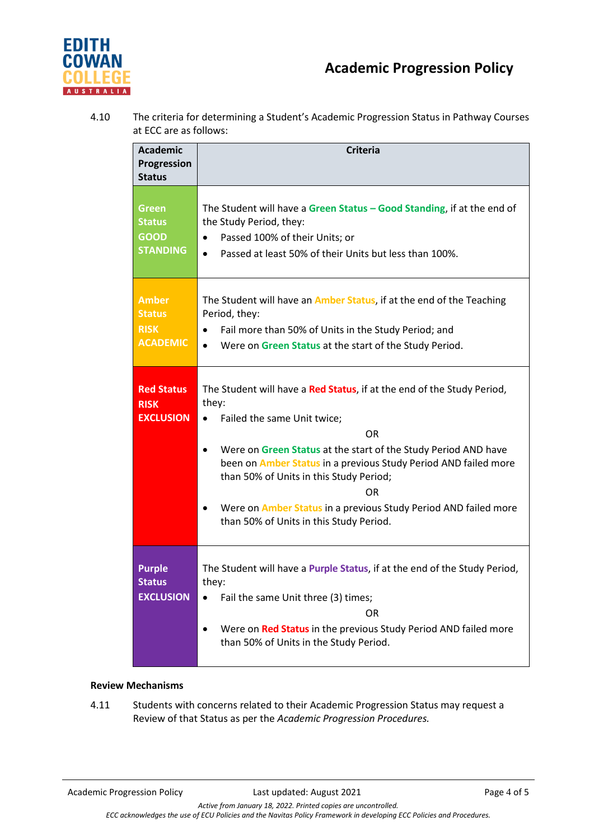

4.10 The criteria for determining a Student's Academic Progression Status in Pathway Courses at ECC are as follows:

| <b>Academic</b>                                                 | <b>Criteria</b>                                                                                                                                                                                                                                                                                                                                                                                                                                       |
|-----------------------------------------------------------------|-------------------------------------------------------------------------------------------------------------------------------------------------------------------------------------------------------------------------------------------------------------------------------------------------------------------------------------------------------------------------------------------------------------------------------------------------------|
| Progression<br><b>Status</b>                                    |                                                                                                                                                                                                                                                                                                                                                                                                                                                       |
| <b>Green</b><br><b>Status</b><br><b>GOOD</b><br><b>STANDING</b> | The Student will have a Green Status - Good Standing, if at the end of<br>the Study Period, they:<br>Passed 100% of their Units; or<br>$\bullet$<br>Passed at least 50% of their Units but less than 100%.<br>$\bullet$                                                                                                                                                                                                                               |
| <b>Amber</b><br><b>Status</b><br><b>RISK</b><br><b>ACADEMIC</b> | The Student will have an <b>Amber Status</b> , if at the end of the Teaching<br>Period, they:<br>Fail more than 50% of Units in the Study Period; and<br>$\bullet$<br>Were on Green Status at the start of the Study Period.<br>$\bullet$                                                                                                                                                                                                             |
| <b>Red Status</b><br><b>RISK</b><br><b>EXCLUSION</b>            | The Student will have a Red Status, if at the end of the Study Period,<br>they:<br>Failed the same Unit twice;<br>$\bullet$<br>OR.<br>Were on Green Status at the start of the Study Period AND have<br>been on <b>Amber Status</b> in a previous Study Period AND failed more<br>than 50% of Units in this Study Period;<br>0R.<br>Were on <b>Amber Status</b> in a previous Study Period AND failed more<br>than 50% of Units in this Study Period. |
| <b>Purple</b><br><b>Status</b><br><b>EXCLUSION</b>              | The Student will have a Purple Status, if at the end of the Study Period,<br>they:<br>Fail the same Unit three (3) times;<br>OR.<br>Were on Red Status in the previous Study Period AND failed more<br>than 50% of Units in the Study Period.                                                                                                                                                                                                         |

## **Review Mechanisms**

4.11 Students with concerns related to their Academic Progression Status may request a Review of that Status as per the *Academic Progression Procedures.*